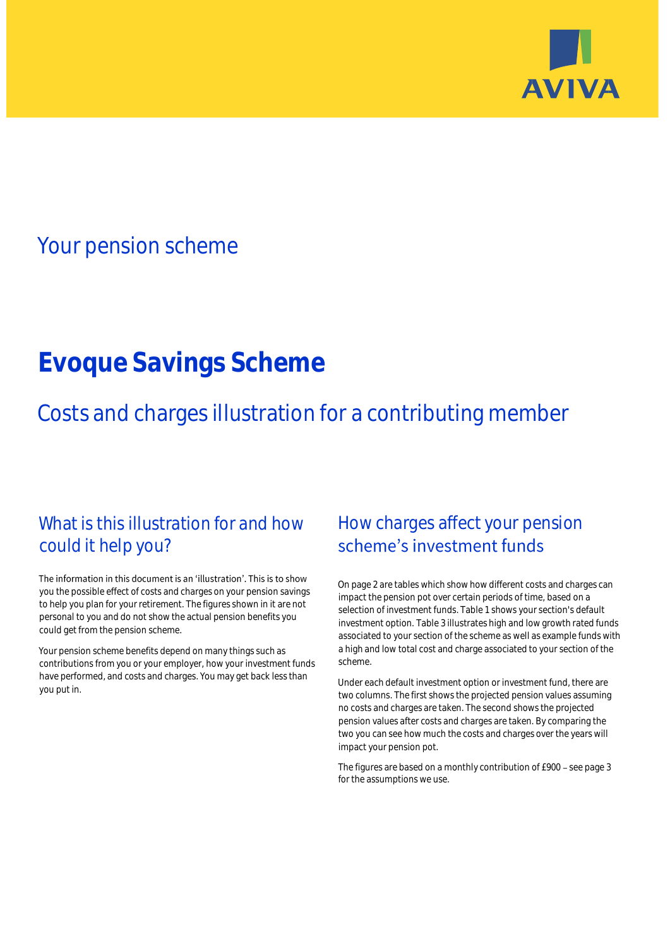

## Your pension scheme

# **Evoque Savings Scheme**

Costs and charges illustration for a contributing member

### What is this illustration for and how could it help you?

#### The information in this document is an 'illustration'. This is to show you the possible effect of costs and charges on your pension savings to help you plan for your retirement. The figures shown in it are not personal to you and do not show the actual pension benefits you could get from the pension scheme.

Your pension scheme benefits depend on many things such as contributions from you or your employer, how your investment funds have performed, and costs and charges. You may get back less than you put in.

### How charges affect your pension scheme's investment funds

On page 2 are tables which show how different costs and charges can impact the pension pot over certain periods of time, based on a selection of investment funds. Table 1 shows your section's default investment option. Table 3 illustrates high and low growth rated funds associated to your section of the scheme as well as example funds with a high and low total cost and charge associated to your section of the scheme.

Under each default investment option or investment fund, there are two columns. The first shows the projected pension values assuming no costs and charges are taken. The second shows the projected pension values after costs and charges are taken. By comparing the two you can see how much the costs and charges over the years will impact your pension pot.

The figures are based on a monthly contribution of £900 - see page 3 for the assumptions we use.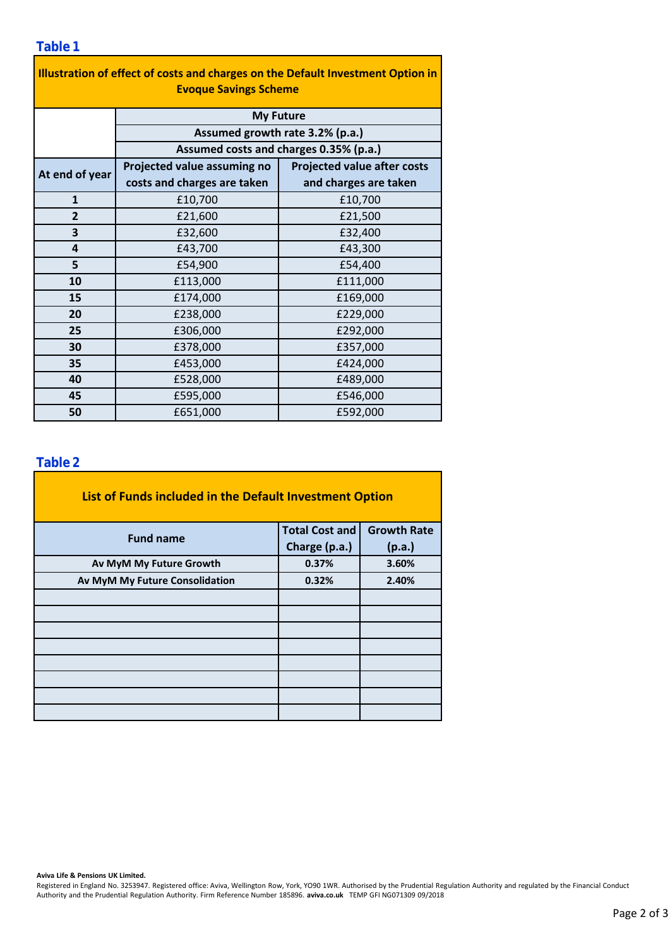| Illustration of effect of costs and charges on the Default Investment Option in |                                        |                                    |  |  |  |  |  |  |  |
|---------------------------------------------------------------------------------|----------------------------------------|------------------------------------|--|--|--|--|--|--|--|
| <b>Evoque Savings Scheme</b>                                                    |                                        |                                    |  |  |  |  |  |  |  |
|                                                                                 | <b>My Future</b>                       |                                    |  |  |  |  |  |  |  |
|                                                                                 | Assumed growth rate 3.2% (p.a.)        |                                    |  |  |  |  |  |  |  |
|                                                                                 | Assumed costs and charges 0.35% (p.a.) |                                    |  |  |  |  |  |  |  |
| At end of year                                                                  | Projected value assuming no            | <b>Projected value after costs</b> |  |  |  |  |  |  |  |
|                                                                                 | costs and charges are taken            | and charges are taken              |  |  |  |  |  |  |  |
| $\mathbf{1}$                                                                    | £10,700                                | £10,700                            |  |  |  |  |  |  |  |
| $\overline{2}$                                                                  | £21,600                                | £21,500                            |  |  |  |  |  |  |  |
| 3                                                                               | £32,600                                | £32,400                            |  |  |  |  |  |  |  |
| 4                                                                               | £43,700                                | £43,300                            |  |  |  |  |  |  |  |
| 5                                                                               | £54,900                                | £54,400                            |  |  |  |  |  |  |  |
| 10                                                                              | £113,000                               | £111,000                           |  |  |  |  |  |  |  |
| 15                                                                              | £174,000                               | £169,000                           |  |  |  |  |  |  |  |
| 20                                                                              | £238,000                               | £229,000                           |  |  |  |  |  |  |  |
| 25                                                                              | £306,000                               | £292,000                           |  |  |  |  |  |  |  |
| 30                                                                              | £378,000                               | £357,000                           |  |  |  |  |  |  |  |
| 35                                                                              | £453,000                               | £424,000                           |  |  |  |  |  |  |  |
| 40                                                                              | £528,000                               | £489,000                           |  |  |  |  |  |  |  |
| 45                                                                              | £595,000                               | £546,000                           |  |  |  |  |  |  |  |
| 50                                                                              | £651,000                               | £592,000                           |  |  |  |  |  |  |  |

### **Table 2**

| List of Funds included in the Default Investment Option |                       |                    |
|---------------------------------------------------------|-----------------------|--------------------|
| <b>Fund name</b>                                        | <b>Total Cost and</b> | <b>Growth Rate</b> |
| Charge (p.a.)                                           |                       | (p.a.)             |
| Av MyM My Future Growth                                 | 0.37%                 | 3.60%              |
| Av MyM My Future Consolidation                          | 0.32%                 | 2.40%              |
|                                                         |                       |                    |
|                                                         |                       |                    |
|                                                         |                       |                    |
|                                                         |                       |                    |
|                                                         |                       |                    |
|                                                         |                       |                    |
|                                                         |                       |                    |
|                                                         |                       |                    |

#### **Aviva Life & Pensions UK Limited.**

Registered in England No. 3253947. Registered office: Aviva, Wellington Row, York, YO90 1WR. Authorised by the Prudential Regulation Authority and regulated by the Financial Conduct Authority and the Prudential Regulation Authority. Firm Reference Number 185896. **aviva.co.uk** TEMP GFI NG071309 09/2018